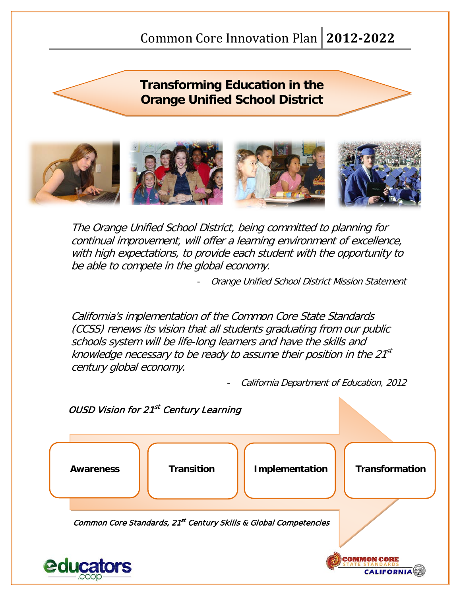# **Transforming Education in the Orange Unified School District**



The Orange Unified School District, being committed to planning for continual improvement, will offer a learning environment of excellence, with high expectations, to provide each student with the opportunity to be able to compete in the global economy.

Orange Unified School District Mission Statement

California's implementation of the Common Core State Standards (CCSS) renews its vision that all students graduating from our public schools system will be life-long learners and have the skills and knowledge necessary to be ready to assume their position in the  $21<sup>st</sup>$ century global economy.

California Department of Education, 2012

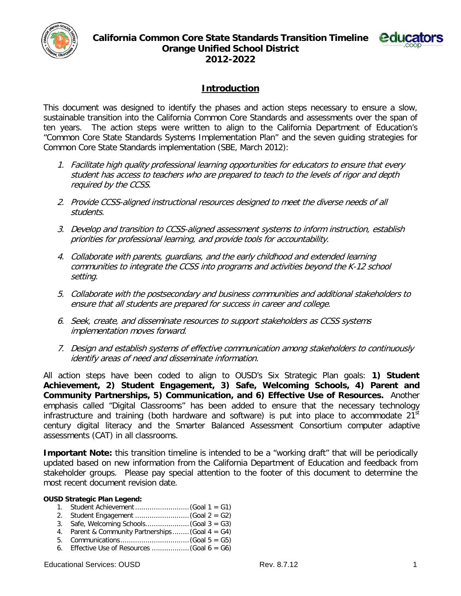



## **Introduction**

This document was designed to identify the phases and action steps necessary to ensure a slow, sustainable transition into the California Common Core Standards and assessments over the span of ten years. The action steps were written to align to the California Department of Education's "Common Core State Standards Systems Implementation Plan" and the seven guiding strategies for Common Core State Standards implementation (SBE, March 2012):

- 1. Facilitate high quality professional learning opportunities for educators to ensure that every student has access to teachers who are prepared to teach to the levels of rigor and depth required by the CCSS.
- 2. Provide CCSS-aligned instructional resources designed to meet the diverse needs of all students.
- 3. Develop and transition to CCSS-aligned assessment systems to inform instruction, establish priorities for professional learning, and provide tools for accountability.
- 4. Collaborate with parents, guardians, and the early childhood and extended learning communities to integrate the CCSS into programs and activities beyond the K-12 school setting.
- 5. Collaborate with the postsecondary and business communities and additional stakeholders to ensure that all students are prepared for success in career and college.
- 6. Seek, create, and disseminate resources to support stakeholders as CCSS systems implementation moves forward.
- 7. Design and establish systems of effective communication among stakeholders to continuously identify areas of need and disseminate information.

All action steps have been coded to align to OUSD's Six Strategic Plan goals: **1) Student Achievement, 2) Student Engagement, 3) Safe, Welcoming Schools, 4) Parent and Community Partnerships, 5) Communication, and 6) Effective Use of Resources.** Another emphasis called "Digital Classrooms" has been added to ensure that the necessary technology infrastructure and training (both hardware and software) is put into place to accommodate  $21<sup>st</sup>$ century digital literacy and the Smarter Balanced Assessment Consortium computer adaptive assessments (CAT) in all classrooms.

**Important Note:** this transition timeline is intended to be a "working draft" that will be periodically updated based on new information from the California Department of Education and feedback from stakeholder groups. Please pay special attention to the footer of this document to determine the most recent document revision date.

#### **OUSD Strategic Plan Legend:**

- 1. Student Achievement..........................(Goal 1 = G1)
- 2. Student Engagement ..........................(Goal 2 = G2)
- 3. Safe, Welcoming Schools.....................(Goal 3 = G3)
- 4. Parent & Community Partnerships ........ (Goal 4 = G4)
- 5. Communications .................................(Goal 5 = G5)
- 6. Effective Use of Resources ..................(Goal 6 = G6)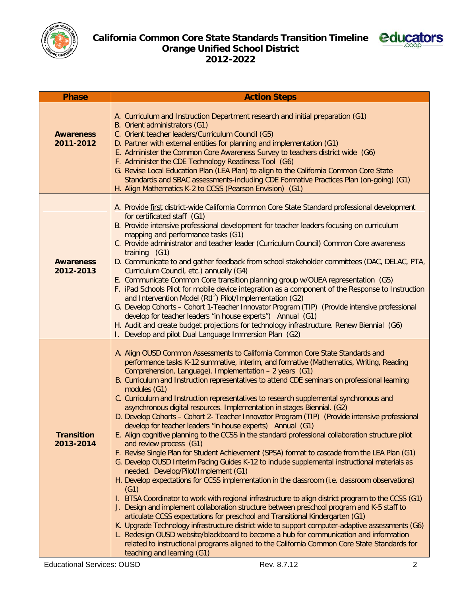



| <b>Phase</b>                   | <b>Action Steps</b>                                                                                                                                                                                                                                                                                                                                                                                                                                                                                                                                                                                                                                                                                                                                                                                                                                                                                                                                                                                                                                                                                                                                                                                                                                                                                                                                                                                                                                                                                                                                                                                                                                                                                                                                                                             |
|--------------------------------|-------------------------------------------------------------------------------------------------------------------------------------------------------------------------------------------------------------------------------------------------------------------------------------------------------------------------------------------------------------------------------------------------------------------------------------------------------------------------------------------------------------------------------------------------------------------------------------------------------------------------------------------------------------------------------------------------------------------------------------------------------------------------------------------------------------------------------------------------------------------------------------------------------------------------------------------------------------------------------------------------------------------------------------------------------------------------------------------------------------------------------------------------------------------------------------------------------------------------------------------------------------------------------------------------------------------------------------------------------------------------------------------------------------------------------------------------------------------------------------------------------------------------------------------------------------------------------------------------------------------------------------------------------------------------------------------------------------------------------------------------------------------------------------------------|
| <b>Awareness</b><br>2011-2012  | A. Curriculum and Instruction Department research and initial preparation (G1)<br>B. Orient administrators (G1)<br>C. Orient teacher leaders/Curriculum Council (G5)<br>D. Partner with external entities for planning and implementation (G1)<br>E. Administer the Common Core Awareness Survey to teachers district wide (G6)<br>F. Administer the CDE Technology Readiness Tool (G6)<br>G. Revise Local Education Plan (LEA Plan) to align to the California Common Core State<br>Standards and SBAC assessments-including CDE Formative Practices Plan (on-going) (G1)<br>H. Align Mathematics K-2 to CCSS (Pearson Envision) (G1)                                                                                                                                                                                                                                                                                                                                                                                                                                                                                                                                                                                                                                                                                                                                                                                                                                                                                                                                                                                                                                                                                                                                                          |
| <b>Awareness</b><br>2012-2013  | A. Provide first district-wide California Common Core State Standard professional development<br>for certificated staff (G1)<br>B. Provide intensive professional development for teacher leaders focusing on curriculum<br>mapping and performance tasks (G1)<br>C. Provide administrator and teacher leader (Curriculum Council) Common Core awareness<br>training (G1)<br>D. Communicate to and gather feedback from school stakeholder committees (DAC, DELAC, PTA,<br>Curriculum Council, etc.) annually (G4)<br>E. Communicate Common Core transition planning group w/OUEA representation (G5)<br>F. iPad Schools Pilot for mobile device integration as a component of the Response to Instruction<br>and Intervention Model (RtI <sup>2</sup> ) Pilot/Implementation (G2)<br>G. Develop Cohorts - Cohort 1-Teacher Innovator Program (TIP) (Provide intensive professional<br>develop for teacher leaders "in house experts") Annual (G1)<br>H. Audit and create budget projections for technology infrastructure. Renew Biennial (G6)<br>Develop and pilot Dual Language Immersion Plan (G2)                                                                                                                                                                                                                                                                                                                                                                                                                                                                                                                                                                                                                                                                                          |
| <b>Transition</b><br>2013-2014 | A. Align OUSD Common Assessments to California Common Core State Standards and<br>performance tasks K-12 summative, interim, and formative (Mathematics, Writing, Reading<br>Comprehension, Language). Implementation - 2 years (G1)<br>B. Curriculum and Instruction representatives to attend CDE seminars on professional learning<br>modules (G1)<br>C. Curriculum and Instruction representatives to research supplemental synchronous and<br>asynchronous digital resources. Implementation in stages Biennial. (G2)<br>D. Develop Cohorts - Cohort 2- Teacher Innovator Program (TIP) (Provide intensive professional<br>develop for teacher leaders "in house experts) Annual (G1)<br>E. Align cognitive planning to the CCSS in the standard professional collaboration structure pilot<br>and review process (G1)<br>F. Revise Single Plan for Student Achievement (SPSA) format to cascade from the LEA Plan (G1)<br>G. Develop OUSD Interim Pacing Guides K-12 to include supplemental instructional materials as<br>needed. Develop/Pilot/Implement (G1)<br>H. Develop expectations for CCSS implementation in the classroom (i.e. classroom observations)<br>(G1)<br>I. BTSA Coordinator to work with regional infrastructure to align district program to the CCSS (G1)<br>J. Design and implement collaboration structure between preschool program and K-5 staff to<br>articulate CCSS expectations for preschool and Transitional Kindergarten (G1)<br>K. Upgrade Technology infrastructure district wide to support computer-adaptive assessments (G6)<br>L. Redesign OUSD website/blackboard to become a hub for communication and information<br>related to instructional programs aligned to the California Common Core State Standards for<br>teaching and learning (G1) |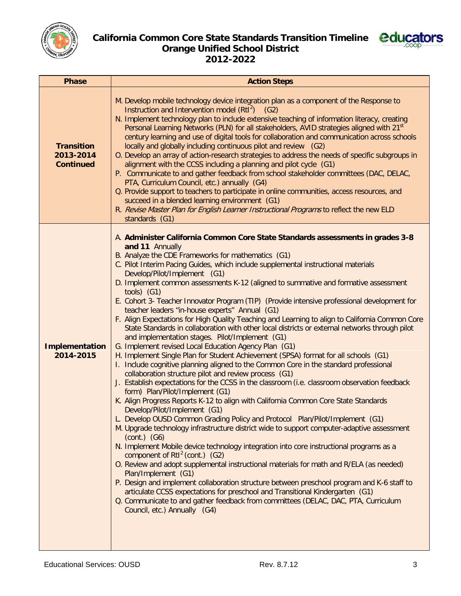

### **California Common Core State Standards Transition Timeline Orange Unified School District 2012-2022**



| <b>Phase</b>                                       | <b>Action Steps</b>                                                                                                                                                                                                                                                                                                                                                                                                                                                                                                                                                                                                                                                                                                                                                                                                                                                                                                                                                                                                                                                                                                                                                                                                                                                                                                                                                                                                                                                                                                                                                                                                                                                                                                                                                                                                                                                                                                                                                                                                                                                                                                 |
|----------------------------------------------------|---------------------------------------------------------------------------------------------------------------------------------------------------------------------------------------------------------------------------------------------------------------------------------------------------------------------------------------------------------------------------------------------------------------------------------------------------------------------------------------------------------------------------------------------------------------------------------------------------------------------------------------------------------------------------------------------------------------------------------------------------------------------------------------------------------------------------------------------------------------------------------------------------------------------------------------------------------------------------------------------------------------------------------------------------------------------------------------------------------------------------------------------------------------------------------------------------------------------------------------------------------------------------------------------------------------------------------------------------------------------------------------------------------------------------------------------------------------------------------------------------------------------------------------------------------------------------------------------------------------------------------------------------------------------------------------------------------------------------------------------------------------------------------------------------------------------------------------------------------------------------------------------------------------------------------------------------------------------------------------------------------------------------------------------------------------------------------------------------------------------|
| <b>Transition</b><br>2013-2014<br><b>Continued</b> | M. Develop mobile technology device integration plan as a component of the Response to<br>Instruction and Intervention model $(RtI2)$ (G2)<br>N. Implement technology plan to include extensive teaching of information literacy, creating<br>Personal Learning Networks (PLN) for all stakeholders, AVID strategies aligned with 21 <sup>st</sup><br>century learning and use of digital tools for collaboration and communication across schools<br>locally and globally including continuous pilot and review (G2)<br>O. Develop an array of action-research strategies to address the needs of specific subgroups in<br>alignment with the CCSS including a planning and pilot cycle (G1)<br>P. Communicate to and gather feedback from school stakeholder committees (DAC, DELAC,<br>PTA, Curriculum Council, etc.) annually (G4)<br>Q. Provide support to teachers to participate in online communities, access resources, and<br>succeed in a blended learning environment (G1)<br>R. Revise Master Plan for English Learner Instructional Programs to reflect the new ELD<br>standards (G1)                                                                                                                                                                                                                                                                                                                                                                                                                                                                                                                                                                                                                                                                                                                                                                                                                                                                                                                                                                                                                 |
| Implementation<br>2014-2015                        | A. Administer California Common Core State Standards assessments in grades 3-8<br>and 11 Annually<br>B. Analyze the CDE Frameworks for mathematics (G1)<br>C. Pilot Interim Pacing Guides, which include supplemental instructional materials<br>Develop/Pilot/Implement (G1)<br>D. Implement common assessments K-12 (aligned to summative and formative assessment<br>$tools)$ (G1)<br>E. Cohort 3- Teacher Innovator Program (TIP) (Provide intensive professional development for<br>teacher leaders "in-house experts" Annual (G1)<br>F. Align Expectations for High Quality Teaching and Learning to align to California Common Core<br>State Standards in collaboration with other local districts or external networks through pilot<br>and implementation stages. Pilot/Implement (G1)<br>G. Implement revised Local Education Agency Plan (G1)<br>H. Implement Single Plan for Student Achievement (SPSA) format for all schools (G1)<br>I. Include cognitive planning aligned to the Common Core in the standard professional<br>collaboration structure pilot and review process (G1)<br>J. Establish expectations for the CCSS in the classroom (i.e. classroom observation feedback<br>form) Plan/Pilot/Implement (G1)<br>K. Align Progress Reports K-12 to align with California Common Core State Standards<br>Develop/Pilot/Implement (G1)<br>L. Develop OUSD Common Grading Policy and Protocol Plan/Pilot/Implement (G1)<br>M. Upgrade technology infrastructure district wide to support computer-adaptive assessment<br>$(cont.)$ $(G6)$<br>N. Implement Mobile device technology integration into core instructional programs as a<br>component of $Rt12$ (cont.) (G2)<br>O. Review and adopt supplemental instructional materials for math and R/ELA (as needed)<br>Plan/Implement (G1)<br>P. Design and implement collaboration structure between preschool program and K-6 staff to<br>articulate CCSS expectations for preschool and Transitional Kindergarten (G1)<br>Q. Communicate to and gather feedback from committees (DELAC, DAC, PTA, Curriculum<br>Council, etc.) Annually (G4) |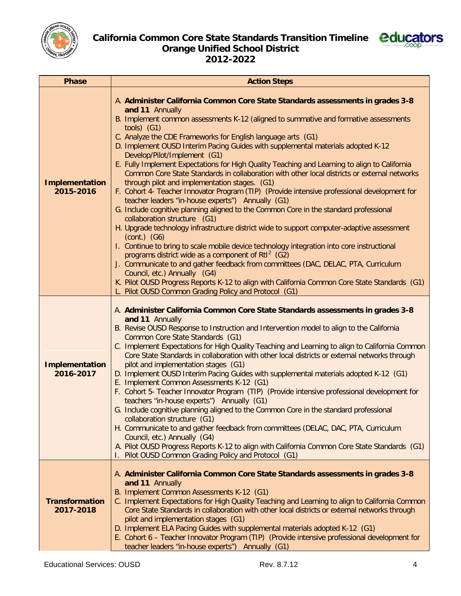



| <b>Phase</b>                       | <b>Action Steps</b>                                                                                                                                                                                                                                                                                                                                                                                                                                                                                                                                                                                                                                                                                                                                                                                                                                                                                                                                                                                                                                                                                                                                                                                                                                                                                                                                                                                                                                                                     |
|------------------------------------|-----------------------------------------------------------------------------------------------------------------------------------------------------------------------------------------------------------------------------------------------------------------------------------------------------------------------------------------------------------------------------------------------------------------------------------------------------------------------------------------------------------------------------------------------------------------------------------------------------------------------------------------------------------------------------------------------------------------------------------------------------------------------------------------------------------------------------------------------------------------------------------------------------------------------------------------------------------------------------------------------------------------------------------------------------------------------------------------------------------------------------------------------------------------------------------------------------------------------------------------------------------------------------------------------------------------------------------------------------------------------------------------------------------------------------------------------------------------------------------------|
| Implementation<br>2015-2016        | A. Administer California Common Core State Standards assessments in grades 3-8<br>and 11 Annually<br>B. Implement common assessments K-12 (aligned to summative and formative assessments<br>$tools)$ (G1)<br>C. Analyze the CDE Frameworks for English language arts (G1)<br>D. Implement OUSD Interim Pacing Guides with supplemental materials adopted K-12<br>Develop/Pilot/Implement (G1)<br>E. Fully Implement Expectations for High Quality Teaching and Learning to align to California<br>Common Core State Standards in collaboration with other local districts or external networks<br>through pilot and implementation stages. (G1)<br>F. Cohort 4- Teacher Innovator Program (TIP) (Provide intensive professional development for<br>teacher leaders "in-house experts") Annually (G1)<br>G. Include cognitive planning aligned to the Common Core in the standard professional<br>collaboration structure (G1)<br>H. Upgrade technology infrastructure district wide to support computer-adaptive assessment<br>$(cont.)$ $(G6)$<br>I. Continue to bring to scale mobile device technology integration into core instructional<br>programs district wide as a component of $RtI^2$ (G2)<br>J. Communicate to and gather feedback from committees (DAC, DELAC, PTA, Curriculum<br>Council, etc.) Annually (G4)<br>K. Pilot OUSD Progress Reports K-12 to align with California Common Core State Standards (G1)<br>L. Pilot OUSD Common Grading Policy and Protocol (G1) |
| Implementation<br>2016-2017        | A. Administer California Common Core State Standards assessments in grades 3-8<br>and 11 Annually<br>B. Revise OUSD Response to Instruction and Intervention model to align to the California<br>Common Core State Standards (G1)<br>C. Implement Expectations for High Quality Teaching and Learning to align to California Common<br>Core State Standards in collaboration with other local districts or external networks through<br>pilot and implementation stages (G1)<br>D. Implement OUSD Interim Pacing Guides with supplemental materials adopted K-12 (G1)<br>E. Implement Common Assessments K-12 (G1)<br>F. Cohort 5- Teacher Innovator Program (TIP) (Provide intensive professional development for<br>teachers "in-house experts") Annually (G1)<br>G. Include cognitive planning aligned to the Common Core in the standard professional<br>collaboration structure (G1)<br>H. Communicate to and gather feedback from committees (DELAC, DAC, PTA, Curriculum<br>Council, etc.) Annually (G4)<br>A. Pilot OUSD Progress Reports K-12 to align with California Common Core State Standards (G1)<br>Pilot OUSD Common Grading Policy and Protocol (G1)                                                                                                                                                                                                                                                                                                                  |
| <b>Transformation</b><br>2017-2018 | A. Administer California Common Core State Standards assessments in grades 3-8<br>and 11 Annually<br>B. Implement Common Assessments K-12 (G1)<br>C. Implement Expectations for High Quality Teaching and Learning to align to California Common<br>Core State Standards in collaboration with other local districts or external networks through<br>pilot and implementation stages (G1)<br>D. Implement ELA Pacing Guides with supplemental materials adopted K-12 (G1)<br>E. Cohort 6 - Teacher Innovator Program (TIP) (Provide intensive professional development for<br>teacher leaders "in-house experts") Annually (G1)                                                                                                                                                                                                                                                                                                                                                                                                                                                                                                                                                                                                                                                                                                                                                                                                                                                         |